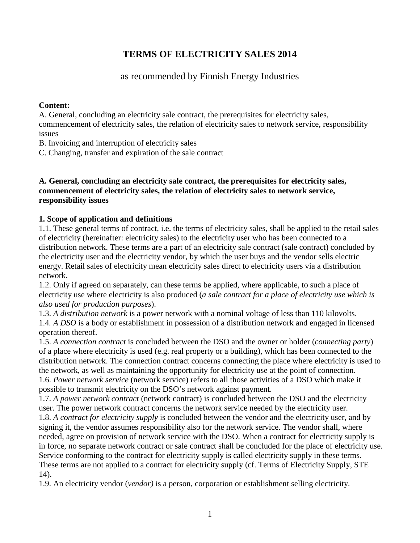# **TERMS OF ELECTRICITY SALES 2014**

## as recommended by Finnish Energy Industries

## **Content:**

A. General, concluding an electricity sale contract, the prerequisites for electricity sales, commencement of electricity sales, the relation of electricity sales to network service, responsibility issues

B. Invoicing and interruption of electricity sales

C. Changing, transfer and expiration of the sale contract

## **A. General, concluding an electricity sale contract, the prerequisites for electricity sales, commencement of electricity sales, the relation of electricity sales to network service, responsibility issues**

## **1. Scope of application and definitions**

1.1. These general terms of contract, i.e. the terms of electricity sales, shall be applied to the retail sales of electricity (hereinafter: electricity sales) to the electricity user who has been connected to a distribution network. These terms are a part of an electricity sale contract (sale contract) concluded by the electricity user and the electricity vendor, by which the user buys and the vendor sells electric energy. Retail sales of electricity mean electricity sales direct to electricity users via a distribution network.

1.2. Only if agreed on separately, can these terms be applied, where applicable, to such a place of electricity use where electricity is also produced (*a sale contract for a place of electricity use which is also used for production purposes*).

1.3. *A distribution network* is a power network with a nominal voltage of less than 110 kilovolts. 1.4*. A DSO* is a body or establishment in possession of a distribution network and engaged in licensed operation thereof.

1.5. *A connection contract* is concluded between the DSO and the owner or holder (*connecting party*) of a place where electricity is used (e.g. real property or a building), which has been connected to the distribution network. The connection contract concerns connecting the place where electricity is used to the network, as well as maintaining the opportunity for electricity use at the point of connection. 1.6. *Power network service* (network service) refers to all those activities of a DSO which make it possible to transmit electricity on the DSO's network against payment.

1.7. *A power network contract* (network contract) is concluded between the DSO and the electricity user. The power network contract concerns the network service needed by the electricity user.

1.8. *A contract for electricity supply* is concluded between the vendor and the electricity user, and by signing it, the vendor assumes responsibility also for the network service. The vendor shall, where needed, agree on provision of network service with the DSO. When a contract for electricity supply is in force, no separate network contract or sale contract shall be concluded for the place of electricity use. Service conforming to the contract for electricity supply is called electricity supply in these terms. These terms are not applied to a contract for electricity supply (cf. Terms of Electricity Supply, STE 14).

1.9. An electricity vendor (*vendor)* is a person, corporation or establishment selling electricity.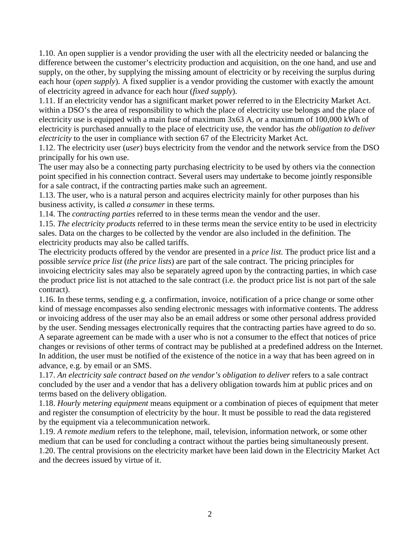1.10. An open supplier is a vendor providing the user with all the electricity needed or balancing the difference between the customer's electricity production and acquisition, on the one hand, and use and supply, on the other, by supplying the missing amount of electricity or by receiving the surplus during each hour (*open supply*). A fixed supplier is a vendor providing the customer with exactly the amount of electricity agreed in advance for each hour (*fixed supply*).

1.11. If an electricity vendor has a significant market power referred to in the Electricity Market Act. within a DSO's the area of responsibility to which the place of electricity use belongs and the place of electricity use is equipped with a main fuse of maximum 3x63 A, or a maximum of 100,000 kWh of electricity is purchased annually to the place of electricity use, the vendor has *the obligation to deliver electricity* to the user in compliance with section 67 of the Electricity Market Act.

1.12. The electricity user (*user*) buys electricity from the vendor and the network service from the DSO principally for his own use.

The user may also be a connecting party purchasing electricity to be used by others via the connection point specified in his connection contract. Several users may undertake to become jointly responsible for a sale contract, if the contracting parties make such an agreement.

1.13. The user, who is a natural person and acquires electricity mainly for other purposes than his business activity, is called *a consumer* in these terms.

1.14. The *contracting parties* referred to in these terms mean the vendor and the user.

1.15. *The electricity products* referred to in these terms mean the service entity to be used in electricity sales. Data on the charges to be collected by the vendor are also included in the definition. The electricity products may also be called tariffs.

The electricity products offered by the vendor are presented in a *price list.* The product price list and a possible *service price list* (*the price lists*) are part of the sale contract. The pricing principles for invoicing electricity sales may also be separately agreed upon by the contracting parties, in which case the product price list is not attached to the sale contract (i.e. the product price list is not part of the sale contract).

1.16. In these terms, sending e.g. a confirmation, invoice, notification of a price change or some other kind of message encompasses also sending electronic messages with informative contents. The address or invoicing address of the user may also be an email address or some other personal address provided by the user. Sending messages electronically requires that the contracting parties have agreed to do so.

A separate agreement can be made with a user who is not a consumer to the effect that notices of price changes or revisions of other terms of contract may be published at a predefined address on the Internet. In addition, the user must be notified of the existence of the notice in a way that has been agreed on in advance, e.g. by email or an SMS.

1.17. *An electricity sale contract based on the vendor's obligation to deliver* refers to a sale contract concluded by the user and a vendor that has a delivery obligation towards him at public prices and on terms based on the delivery obligation.

1.18. *Hourly metering equipment* means equipment or a combination of pieces of equipment that meter and register the consumption of electricity by the hour. It must be possible to read the data registered by the equipment via a telecommunication network.

1.19. *A remote medium* refers to the telephone, mail, television, information network, or some other medium that can be used for concluding a contract without the parties being simultaneously present. 1.20. The central provisions on the electricity market have been laid down in the Electricity Market Act and the decrees issued by virtue of it.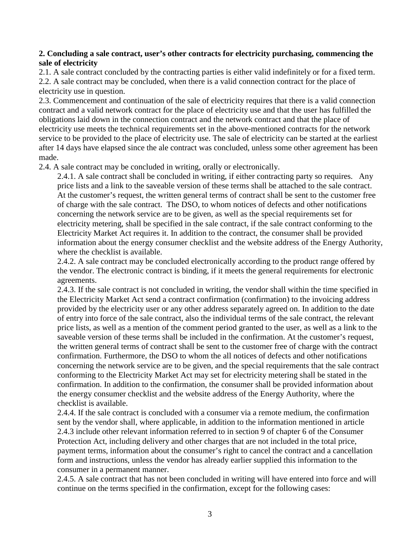## **2. Concluding a sale contract, user's other contracts for electricity purchasing, commencing the sale of electricity**

2.1. A sale contract concluded by the contracting parties is either valid indefinitely or for a fixed term. 2.2. A sale contract may be concluded, when there is a valid connection contract for the place of electricity use in question.

2.3. Commencement and continuation of the sale of electricity requires that there is a valid connection contract and a valid network contract for the place of electricity use and that the user has fulfilled the obligations laid down in the connection contract and the network contract and that the place of electricity use meets the technical requirements set in the above-mentioned contracts for the network service to be provided to the place of electricity use. The sale of electricity can be started at the earliest after 14 days have elapsed since the ale contract was concluded, unless some other agreement has been made.

2.4. A sale contract may be concluded in writing, orally or electronically.

2.4.1. A sale contract shall be concluded in writing, if either contracting party so requires. Any price lists and a link to the saveable version of these terms shall be attached to the sale contract. At the customer's request, the written general terms of contract shall be sent to the customer free of charge with the sale contract. The DSO, to whom notices of defects and other notifications concerning the network service are to be given, as well as the special requirements set for electricity metering, shall be specified in the sale contract, if the sale contract conforming to the Electricity Market Act requires it. In addition to the contract, the consumer shall be provided information about the energy consumer checklist and the website address of the Energy Authority, where the checklist is available.

2.4.2. A sale contract may be concluded electronically according to the product range offered by the vendor. The electronic contract is binding, if it meets the general requirements for electronic agreements.

2.4.3. If the sale contract is not concluded in writing, the vendor shall within the time specified in the Electricity Market Act send a contract confirmation (confirmation) to the invoicing address provided by the electricity user or any other address separately agreed on. In addition to the date of entry into force of the sale contract, also the individual terms of the sale contract, the relevant price lists, as well as a mention of the comment period granted to the user, as well as a link to the saveable version of these terms shall be included in the confirmation. At the customer's request, the written general terms of contract shall be sent to the customer free of charge with the contract confirmation. Furthermore, the DSO to whom the all notices of defects and other notifications concerning the network service are to be given, and the special requirements that the sale contract conforming to the Electricity Market Act may set for electricity metering shall be stated in the confirmation. In addition to the confirmation, the consumer shall be provided information about the energy consumer checklist and the website address of the Energy Authority, where the checklist is available.

2.4.4. If the sale contract is concluded with a consumer via a remote medium, the confirmation sent by the vendor shall, where applicable, in addition to the information mentioned in article 2.4.3 include other relevant information referred to in section 9 of chapter 6 of the Consumer Protection Act, including delivery and other charges that are not included in the total price, payment terms, information about the consumer's right to cancel the contract and a cancellation form and instructions, unless the vendor has already earlier supplied this information to the consumer in a permanent manner.

2.4.5. A sale contract that has not been concluded in writing will have entered into force and will continue on the terms specified in the confirmation, except for the following cases: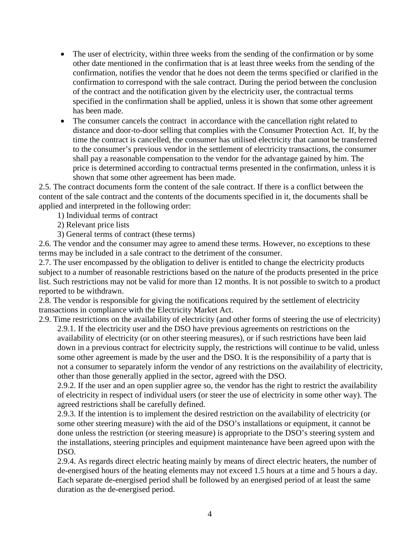- The user of electricity, within three weeks from the sending of the confirmation or by some other date mentioned in the confirmation that is at least three weeks from the sending of the confirmation, notifies the vendor that he does not deem the terms specified or clarified in the confirmation to correspond with the sale contract. During the period between the conclusion of the contract and the notification given by the electricity user, the contractual terms specified in the confirmation shall be applied, unless it is shown that some other agreement has been made.
- The consumer cancels the contract in accordance with the cancellation right related to distance and door-to-door selling that complies with the Consumer Protection Act. If, by the time the contract is cancelled, the consumer has utilised electricity that cannot be transferred to the consumer's previous vendor in the settlement of electricity transactions, the consumer shall pay a reasonable compensation to the vendor for the advantage gained by him. The price is determined according to contractual terms presented in the confirmation, unless it is shown that some other agreement has been made.

2.5. The contract documents form the content of the sale contract. If there is a conflict between the content of the sale contract and the contents of the documents specified in it, the documents shall be applied and interpreted in the following order:

1) Individual terms of contract

2) Relevant price lists

3) General terms of contract (these terms)

2.6. The vendor and the consumer may agree to amend these terms. However, no exceptions to these terms may be included in a sale contract to the detriment of the consumer.

2.7. The user encompassed by the obligation to deliver is entitled to change the electricity products subject to a number of reasonable restrictions based on the nature of the products presented in the price list. Such restrictions may not be valid for more than 12 months. It is not possible to switch to a product reported to be withdrawn.

2.8. The vendor is responsible for giving the notifications required by the settlement of electricity transactions in compliance with the Electricity Market Act.

2.9. Time restrictions on the availability of electricity (and other forms of steering the use of electricity) 2.9.1. If the electricity user and the DSO have previous agreements on restrictions on the

availability of electricity (or on other steering measures), or if such restrictions have been laid down in a previous contract for electricity supply, the restrictions will continue to be valid, unless some other agreement is made by the user and the DSO. It is the responsibility of a party that is not a consumer to separately inform the vendor of any restrictions on the availability of electricity, other than those generally applied in the sector, agreed with the DSO.

2.9.2. If the user and an open supplier agree so, the vendor has the right to restrict the availability of electricity in respect of individual users (or steer the use of electricity in some other way). The agreed restrictions shall be carefully defined.

2.9.3. If the intention is to implement the desired restriction on the availability of electricity (or some other steering measure) with the aid of the DSO's installations or equipment, it cannot be done unless the restriction (or steering measure) is appropriate to the DSO's steering system and the installations, steering principles and equipment maintenance have been agreed upon with the DSO.

2.9.4. As regards direct electric heating mainly by means of direct electric heaters, the number of de-energised hours of the heating elements may not exceed 1.5 hours at a time and 5 hours a day. Each separate de-energised period shall be followed by an energised period of at least the same duration as the de-energised period.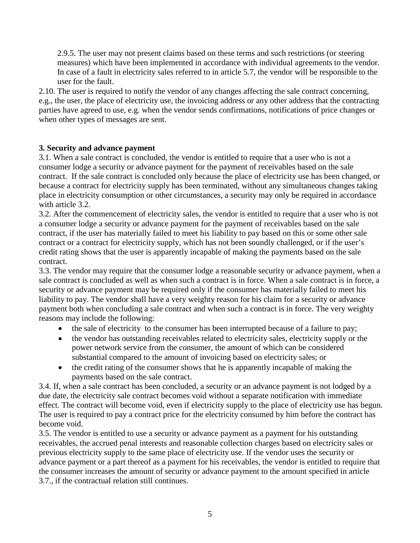2.9.5. The user may not present claims based on these terms and such restrictions (or steering measures) which have been implemented in accordance with individual agreements to the vendor. In case of a fault in electricity sales referred to in article 5.7, the vendor will be responsible to the user for the fault.

2.10. The user is required to notify the vendor of any changes affecting the sale contract concerning, e.g., the user, the place of electricity use, the invoicing address or any other address that the contracting parties have agreed to use, e.g. when the vendor sends confirmations, notifications of price changes or when other types of messages are sent.

## **3. Security and advance payment**

3.1. When a sale contract is concluded, the vendor is entitled to require that a user who is not a consumer lodge a security or advance payment for the payment of receivables based on the sale contract. If the sale contract is concluded only because the place of electricity use has been changed, or because a contract for electricity supply has been terminated, without any simultaneous changes taking place in electricity consumption or other circumstances, a security may only be required in accordance with article 3.2.

3.2. After the commencement of electricity sales, the vendor is entitled to require that a user who is not a consumer lodge a security or advance payment for the payment of receivables based on the sale contract, if the user has materially failed to meet his liability to pay based on this or some other sale contract or a contract for electricity supply, which has not been soundly challenged, or if the user's credit rating shows that the user is apparently incapable of making the payments based on the sale contract.

3.3. The vendor may require that the consumer lodge a reasonable security or advance payment, when a sale contract is concluded as well as when such a contract is in force. When a sale contract is in force, a security or advance payment may be required only if the consumer has materially failed to meet his liability to pay. The vendor shall have a very weighty reason for his claim for a security or advance payment both when concluding a sale contract and when such a contract is in force. The very weighty reasons may include the following:

- the sale of electricity to the consumer has been interrupted because of a failure to pay;
- the vendor has outstanding receivables related to electricity sales, electricity supply or the power network service from the consumer, the amount of which can be considered substantial compared to the amount of invoicing based on electricity sales; or
- the credit rating of the consumer shows that he is apparently incapable of making the payments based on the sale contract.

3.4. If, when a sale contract has been concluded, a security or an advance payment is not lodged by a due date, the electricity sale contract becomes void without a separate notification with immediate effect. The contract will become void, even if electricity supply to the place of electricity use has begun. The user is required to pay a contract price for the electricity consumed by him before the contract has become void.

3.5. The vendor is entitled to use a security or advance payment as a payment for his outstanding receivables, the accrued penal interests and reasonable collection charges based on electricity sales or previous electricity supply to the same place of electricity use. If the vendor uses the security or advance payment or a part thereof as a payment for his receivables, the vendor is entitled to require that the consumer increases the amount of security or advance payment to the amount specified in article 3.7., if the contractual relation still continues.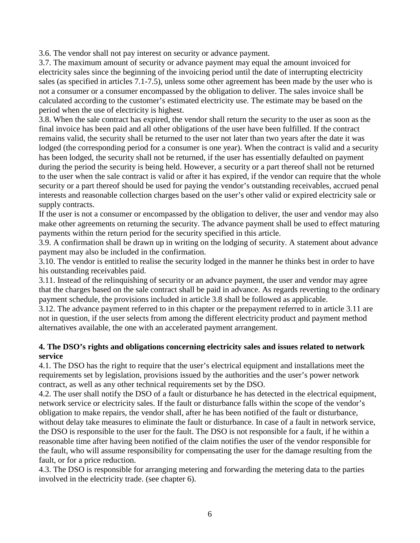3.6. The vendor shall not pay interest on security or advance payment.

3.7. The maximum amount of security or advance payment may equal the amount invoiced for electricity sales since the beginning of the invoicing period until the date of interrupting electricity sales (as specified in articles 7.1-7.5), unless some other agreement has been made by the user who is not a consumer or a consumer encompassed by the obligation to deliver. The sales invoice shall be calculated according to the customer's estimated electricity use. The estimate may be based on the period when the use of electricity is highest.

3.8. When the sale contract has expired, the vendor shall return the security to the user as soon as the final invoice has been paid and all other obligations of the user have been fulfilled. If the contract remains valid, the security shall be returned to the user not later than two years after the date it was lodged (the corresponding period for a consumer is one year). When the contract is valid and a security has been lodged, the security shall not be returned, if the user has essentially defaulted on payment during the period the security is being held. However, a security or a part thereof shall not be returned to the user when the sale contract is valid or after it has expired, if the vendor can require that the whole security or a part thereof should be used for paying the vendor's outstanding receivables, accrued penal interests and reasonable collection charges based on the user's other valid or expired electricity sale or supply contracts.

If the user is not a consumer or encompassed by the obligation to deliver, the user and vendor may also make other agreements on returning the security. The advance payment shall be used to effect maturing payments within the return period for the security specified in this article.

3.9. A confirmation shall be drawn up in writing on the lodging of security. A statement about advance payment may also be included in the confirmation.

3.10. The vendor is entitled to realise the security lodged in the manner he thinks best in order to have his outstanding receivables paid.

3.11. Instead of the relinquishing of security or an advance payment, the user and vendor may agree that the charges based on the sale contract shall be paid in advance. As regards reverting to the ordinary payment schedule, the provisions included in article 3.8 shall be followed as applicable.

3.12. The advance payment referred to in this chapter or the prepayment referred to in article 3.11 are not in question, if the user selects from among the different electricity product and payment method alternatives available, the one with an accelerated payment arrangement.

## **4. The DSO's rights and obligations concerning electricity sales and issues related to network service**

4.1. The DSO has the right to require that the user's electrical equipment and installations meet the requirements set by legislation, provisions issued by the authorities and the user's power network contract, as well as any other technical requirements set by the DSO.

4.2. The user shall notify the DSO of a fault or disturbance he has detected in the electrical equipment, network service or electricity sales. If the fault or disturbance falls within the scope of the vendor's obligation to make repairs, the vendor shall, after he has been notified of the fault or disturbance, without delay take measures to eliminate the fault or disturbance. In case of a fault in network service, the DSO is responsible to the user for the fault. The DSO is not responsible for a fault, if he within a reasonable time after having been notified of the claim notifies the user of the vendor responsible for the fault, who will assume responsibility for compensating the user for the damage resulting from the fault, or for a price reduction.

4.3. The DSO is responsible for arranging metering and forwarding the metering data to the parties involved in the electricity trade. (see chapter 6).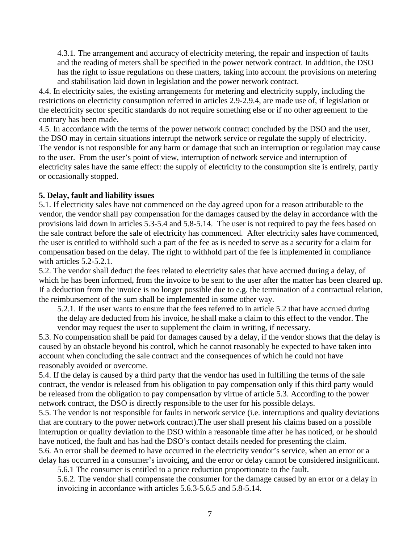4.3.1. The arrangement and accuracy of electricity metering, the repair and inspection of faults and the reading of meters shall be specified in the power network contract. In addition, the DSO has the right to issue regulations on these matters, taking into account the provisions on metering and stabilisation laid down in legislation and the power network contract.

4.4. In electricity sales, the existing arrangements for metering and electricity supply, including the restrictions on electricity consumption referred in articles 2.9-2.9.4, are made use of, if legislation or the electricity sector specific standards do not require something else or if no other agreement to the contrary has been made.

4.5. In accordance with the terms of the power network contract concluded by the DSO and the user, the DSO may in certain situations interrupt the network service or regulate the supply of electricity. The vendor is not responsible for any harm or damage that such an interruption or regulation may cause to the user. From the user's point of view, interruption of network service and interruption of electricity sales have the same effect: the supply of electricity to the consumption site is entirely, partly or occasionally stopped.

### **5. Delay, fault and liability issues**

5.1. If electricity sales have not commenced on the day agreed upon for a reason attributable to the vendor, the vendor shall pay compensation for the damages caused by the delay in accordance with the provisions laid down in articles 5.3-5.4 and 5.8-5.14. The user is not required to pay the fees based on the sale contract before the sale of electricity has commenced. After electricity sales have commenced, the user is entitled to withhold such a part of the fee as is needed to serve as a security for a claim for compensation based on the delay. The right to withhold part of the fee is implemented in compliance with articles  $5.2 - 5.2.1$ .

5.2. The vendor shall deduct the fees related to electricity sales that have accrued during a delay, of which he has been informed, from the invoice to be sent to the user after the matter has been cleared up. If a deduction from the invoice is no longer possible due to e.g. the termination of a contractual relation, the reimbursement of the sum shall be implemented in some other way.

5.2.1. If the user wants to ensure that the fees referred to in article 5.2 that have accrued during the delay are deducted from his invoice, he shall make a claim to this effect to the vendor. The vendor may request the user to supplement the claim in writing, if necessary.

5.3. No compensation shall be paid for damages caused by a delay, if the vendor shows that the delay is caused by an obstacle beyond his control, which he cannot reasonably be expected to have taken into account when concluding the sale contract and the consequences of which he could not have reasonably avoided or overcome.

5.4. If the delay is caused by a third party that the vendor has used in fulfilling the terms of the sale contract, the vendor is released from his obligation to pay compensation only if this third party would be released from the obligation to pay compensation by virtue of article 5.3. According to the power network contract, the DSO is directly responsible to the user for his possible delays.

5.5. The vendor is not responsible for faults in network service (i.e. interruptions and quality deviations that are contrary to the power network contract).The user shall present his claims based on a possible interruption or quality deviation to the DSO within a reasonable time after he has noticed, or he should have noticed, the fault and has had the DSO's contact details needed for presenting the claim. 5.6. An error shall be deemed to have occurred in the electricity vendor's service, when an error or a

delay has occurred in a consumer's invoicing, and the error or delay cannot be considered insignificant. 5.6.1 The consumer is entitled to a price reduction proportionate to the fault.

5.6.2. The vendor shall compensate the consumer for the damage caused by an error or a delay in invoicing in accordance with articles 5.6.3-5.6.5 and 5.8-5.14.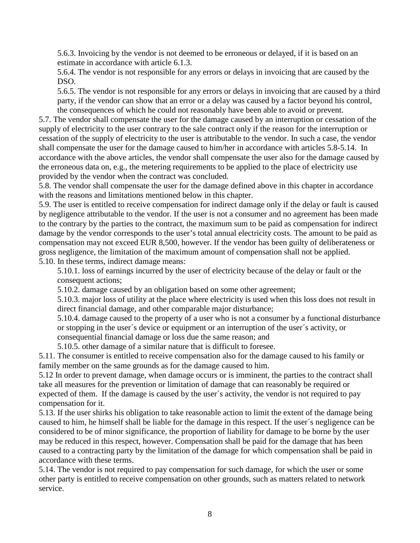5.6.3. Invoicing by the vendor is not deemed to be erroneous or delayed, if it is based on an estimate in accordance with article 6.1.3.

5.6.4. The vendor is not responsible for any errors or delays in invoicing that are caused by the DSO.

5.6.5. The vendor is not responsible for any errors or delays in invoicing that are caused by a third party, if the vendor can show that an error or a delay was caused by a factor beyond his control, the consequences of which he could not reasonably have been able to avoid or prevent.

5.7. The vendor shall compensate the user for the damage caused by an interruption or cessation of the supply of electricity to the user contrary to the sale contract only if the reason for the interruption or cessation of the supply of electricity to the user is attributable to the vendor. In such a case, the vendor shall compensate the user for the damage caused to him/her in accordance with articles 5.8-5.14. In accordance with the above articles, the vendor shall compensate the user also for the damage caused by the erroneous data on, e.g., the metering requirements to be applied to the place of electricity use provided by the vendor when the contract was concluded.

5.8. The vendor shall compensate the user for the damage defined above in this chapter in accordance with the reasons and limitations mentioned below in this chapter.

5.9. The user is entitled to receive compensation for indirect damage only if the delay or fault is caused by negligence attributable to the vendor. If the user is not a consumer and no agreement has been made to the contrary by the parties to the contract, the maximum sum to be paid as compensation for indirect damage by the vendor corresponds to the user's total annual electricity costs. The amount to be paid as compensation may not exceed EUR 8,500, however. If the vendor has been guilty of deliberateness or gross negligence, the limitation of the maximum amount of compensation shall not be applied.

5.10. In these terms, indirect damage means:

5.10.1. loss of earnings incurred by the user of electricity because of the delay or fault or the consequent actions;

5.10.2. damage caused by an obligation based on some other agreement;

5.10.3. major loss of utility at the place where electricity is used when this loss does not result in direct financial damage, and other comparable major disturbance;

5.10.4. damage caused to the property of a user who is not a consumer by a functional disturbance or stopping in the user´s device or equipment or an interruption of the user´s activity, or consequential financial damage or loss due the same reason; and

5.10.5. other damage of a similar nature that is difficult to foresee.

5.11. The consumer is entitled to receive compensation also for the damage caused to his family or family member on the same grounds as for the damage caused to him.

5.12 In order to prevent damage, when damage occurs or is imminent, the parties to the contract shall take all measures for the prevention or limitation of damage that can reasonably be required or expected of them. If the damage is caused by the user´s activity, the vendor is not required to pay compensation for it.

5.13. If the user shirks his obligation to take reasonable action to limit the extent of the damage being caused to him, he himself shall be liable for the damage in this respect. If the user´s negligence can be considered to be of minor significance, the proportion of liability for damage to be borne by the user may be reduced in this respect, however. Compensation shall be paid for the damage that has been caused to a contracting party by the limitation of the damage for which compensation shall be paid in accordance with these terms.

5.14. The vendor is not required to pay compensation for such damage, for which the user or some other party is entitled to receive compensation on other grounds, such as matters related to network service.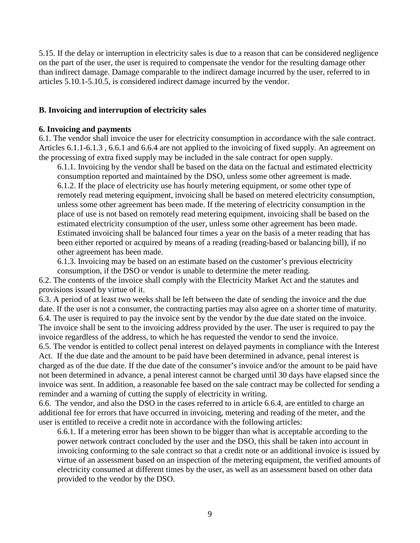5.15. If the delay or interruption in electricity sales is due to a reason that can be considered negligence on the part of the user, the user is required to compensate the vendor for the resulting damage other than indirect damage. Damage comparable to the indirect damage incurred by the user, referred to in articles 5.10.1-5.10.5, is considered indirect damage incurred by the vendor.

### **B. Invoicing and interruption of electricity sales**

#### **6. Invoicing and payments**

6.1. The vendor shall invoice the user for electricity consumption in accordance with the sale contract. Articles 6.1.1-6.1.3 , 6.6.1 and 6.6.4 are not applied to the invoicing of fixed supply. An agreement on the processing of extra fixed supply may be included in the sale contract for open supply.

6.1.1. Invoicing by the vendor shall be based on the data on the factual and estimated electricity consumption reported and maintained by the DSO, unless some other agreement is made. 6.1.2. If the place of electricity use has hourly metering equipment, or some other type of remotely read metering equipment, invoicing shall be based on metered electricity consumption, unless some other agreement has been made. If the metering of electricity consumption in the place of use is not based on remotely read metering equipment, invoicing shall be based on the estimated electricity consumption of the user, unless some other agreement has been made. Estimated invoicing shall be balanced four times a year on the basis of a meter reading that has been either reported or acquired by means of a reading (reading-based or balancing bill), if no other agreement has been made.

6.1.3. Invoicing may be based on an estimate based on the customer's previous electricity consumption, if the DSO or vendor is unable to determine the meter reading.

6.2. The contents of the invoice shall comply with the Electricity Market Act and the statutes and provisions issued by virtue of it.

6.3. A period of at least two weeks shall be left between the date of sending the invoice and the due date. If the user is not a consumer, the contracting parties may also agree on a shorter time of maturity. 6.4. The user is required to pay the invoice sent by the vendor by the due date stated on the invoice. The invoice shall be sent to the invoicing address provided by the user. The user is required to pay the invoice regardless of the address, to which he has requested the vendor to send the invoice.

6.5. The vendor is entitled to collect penal interest on delayed payments in compliance with the Interest Act. If the due date and the amount to be paid have been determined in advance, penal interest is charged as of the due date. If the due date of the consumer's invoice and/or the amount to be paid have not been determined in advance, a penal interest cannot be charged until 30 days have elapsed since the invoice was sent. In addition, a reasonable fee based on the sale contract may be collected for sending a reminder and a warning of cutting the supply of electricity in writing.

6.6. The vendor, and also the DSO in the cases referred to in article 6.6.4, are entitled to charge an additional fee for errors that have occurred in invoicing, metering and reading of the meter, and the user is entitled to receive a credit note in accordance with the following articles:

6.6.1. If a metering error has been shown to be bigger than what is acceptable according to the power network contract concluded by the user and the DSO, this shall be taken into account in invoicing conforming to the sale contract so that a credit note or an additional invoice is issued by virtue of an assessment based on an inspection of the metering equipment, the verified amounts of electricity consumed at different times by the user, as well as an assessment based on other data provided to the vendor by the DSO.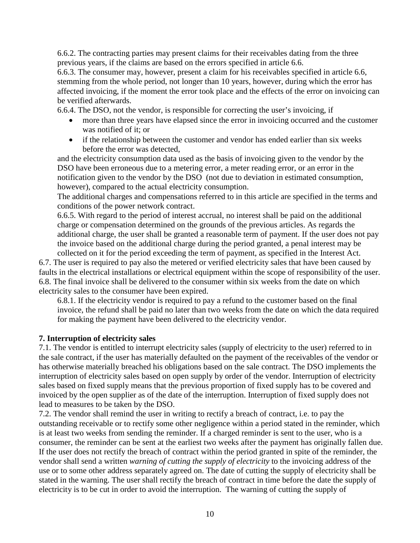6.6.2. The contracting parties may present claims for their receivables dating from the three previous years, if the claims are based on the errors specified in article 6.6.

6.6.3. The consumer may, however, present a claim for his receivables specified in article 6.6, stemming from the whole period, not longer than 10 years, however, during which the error has affected invoicing, if the moment the error took place and the effects of the error on invoicing can be verified afterwards.

6.6.4. The DSO, not the vendor, is responsible for correcting the user's invoicing, if

- more than three years have elapsed since the error in invoicing occurred and the customer was notified of it; or
- if the relationship between the customer and vendor has ended earlier than six weeks before the error was detected,

and the electricity consumption data used as the basis of invoicing given to the vendor by the DSO have been erroneous due to a metering error, a meter reading error, or an error in the notification given to the vendor by the DSO (not due to deviation in estimated consumption, however), compared to the actual electricity consumption.

The additional charges and compensations referred to in this article are specified in the terms and conditions of the power network contract.

6.6.5. With regard to the period of interest accrual, no interest shall be paid on the additional charge or compensation determined on the grounds of the previous articles. As regards the additional charge, the user shall be granted a reasonable term of payment. If the user does not pay the invoice based on the additional charge during the period granted, a penal interest may be collected on it for the period exceeding the term of payment, as specified in the Interest Act.

6.7. The user is required to pay also the metered or verified electricity sales that have been caused by faults in the electrical installations or electrical equipment within the scope of responsibility of the user. 6.8. The final invoice shall be delivered to the consumer within six weeks from the date on which electricity sales to the consumer have been expired.

6.8.1. If the electricity vendor is required to pay a refund to the customer based on the final invoice, the refund shall be paid no later than two weeks from the date on which the data required for making the payment have been delivered to the electricity vendor.

## **7. Interruption of electricity sales**

7.1. The vendor is entitled to interrupt electricity sales (supply of electricity to the user) referred to in the sale contract, if the user has materially defaulted on the payment of the receivables of the vendor or has otherwise materially breached his obligations based on the sale contract. The DSO implements the interruption of electricity sales based on open supply by order of the vendor. Interruption of electricity sales based on fixed supply means that the previous proportion of fixed supply has to be covered and invoiced by the open supplier as of the date of the interruption. Interruption of fixed supply does not lead to measures to be taken by the DSO.

7.2. The vendor shall remind the user in writing to rectify a breach of contract, i.e. to pay the outstanding receivable or to rectify some other negligence within a period stated in the reminder, which is at least two weeks from sending the reminder. If a charged reminder is sent to the user, who is a consumer, the reminder can be sent at the earliest two weeks after the payment has originally fallen due. If the user does not rectify the breach of contract within the period granted in spite of the reminder, the vendor shall send a written *warning of cutting the supply of electricity* to the invoicing address of the use or to some other address separately agreed on. The date of cutting the supply of electricity shall be stated in the warning. The user shall rectify the breach of contract in time before the date the supply of electricity is to be cut in order to avoid the interruption. The warning of cutting the supply of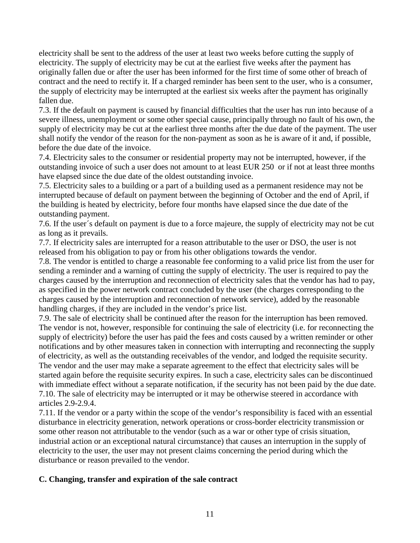electricity shall be sent to the address of the user at least two weeks before cutting the supply of electricity. The supply of electricity may be cut at the earliest five weeks after the payment has originally fallen due or after the user has been informed for the first time of some other of breach of contract and the need to rectify it. If a charged reminder has been sent to the user, who is a consumer, the supply of electricity may be interrupted at the earliest six weeks after the payment has originally fallen due.

7.3. If the default on payment is caused by financial difficulties that the user has run into because of a severe illness, unemployment or some other special cause, principally through no fault of his own, the supply of electricity may be cut at the earliest three months after the due date of the payment. The user shall notify the vendor of the reason for the non-payment as soon as he is aware of it and, if possible, before the due date of the invoice.

7.4. Electricity sales to the consumer or residential property may not be interrupted, however, if the outstanding invoice of such a user does not amount to at least EUR 250 or if not at least three months have elapsed since the due date of the oldest outstanding invoice.

7.5. Electricity sales to a building or a part of a building used as a permanent residence may not be interrupted because of default on payment between the beginning of October and the end of April, if the building is heated by electricity, before four months have elapsed since the due date of the outstanding payment.

7.6. If the user´s default on payment is due to a force majeure, the supply of electricity may not be cut as long as it prevails.

7.7. If electricity sales are interrupted for a reason attributable to the user or DSO, the user is not released from his obligation to pay or from his other obligations towards the vendor.

7.8. The vendor is entitled to charge a reasonable fee conforming to a valid price list from the user for sending a reminder and a warning of cutting the supply of electricity. The user is required to pay the charges caused by the interruption and reconnection of electricity sales that the vendor has had to pay, as specified in the power network contract concluded by the user (the charges corresponding to the charges caused by the interruption and reconnection of network service), added by the reasonable handling charges, if they are included in the vendor's price list.

7.9. The sale of electricity shall be continued after the reason for the interruption has been removed. The vendor is not, however, responsible for continuing the sale of electricity (i.e. for reconnecting the supply of electricity) before the user has paid the fees and costs caused by a written reminder or other notifications and by other measures taken in connection with interrupting and reconnecting the supply of electricity, as well as the outstanding receivables of the vendor, and lodged the requisite security. The vendor and the user may make a separate agreement to the effect that electricity sales will be started again before the requisite security expires. In such a case, electricity sales can be discontinued with immediate effect without a separate notification, if the security has not been paid by the due date. 7.10. The sale of electricity may be interrupted or it may be otherwise steered in accordance with articles 2.9-2.9.4.

7.11. If the vendor or a party within the scope of the vendor's responsibility is faced with an essential disturbance in electricity generation, network operations or cross-border electricity transmission or some other reason not attributable to the vendor (such as a war or other type of crisis situation, industrial action or an exceptional natural circumstance) that causes an interruption in the supply of electricity to the user, the user may not present claims concerning the period during which the disturbance or reason prevailed to the vendor.

## **C. Changing, transfer and expiration of the sale contract**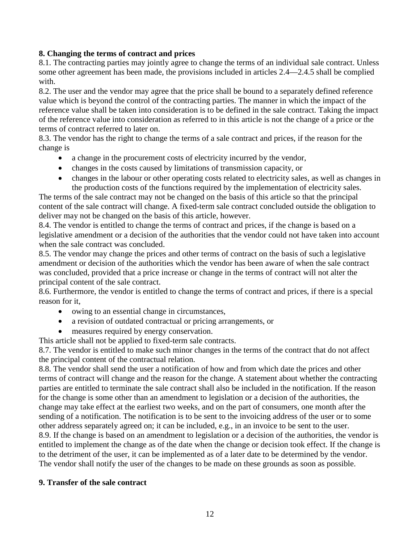## **8. Changing the terms of contract and prices**

8.1. The contracting parties may jointly agree to change the terms of an individual sale contract. Unless some other agreement has been made, the provisions included in articles 2.4—2.4.5 shall be complied with.

8.2. The user and the vendor may agree that the price shall be bound to a separately defined reference value which is beyond the control of the contracting parties. The manner in which the impact of the reference value shall be taken into consideration is to be defined in the sale contract. Taking the impact of the reference value into consideration as referred to in this article is not the change of a price or the terms of contract referred to later on.

8.3. The vendor has the right to change the terms of a sale contract and prices, if the reason for the change is

- a change in the procurement costs of electricity incurred by the vendor,
- changes in the costs caused by limitations of transmission capacity, or
- changes in the labour or other operating costs related to electricity sales, as well as changes in the production costs of the functions required by the implementation of electricity sales.

The terms of the sale contract may not be changed on the basis of this article so that the principal content of the sale contract will change. A fixed-term sale contract concluded outside the obligation to deliver may not be changed on the basis of this article, however.

8.4. The vendor is entitled to change the terms of contract and prices, if the change is based on a legislative amendment or a decision of the authorities that the vendor could not have taken into account when the sale contract was concluded.

8.5. The vendor may change the prices and other terms of contract on the basis of such a legislative amendment or decision of the authorities which the vendor has been aware of when the sale contract was concluded, provided that a price increase or change in the terms of contract will not alter the principal content of the sale contract.

8.6. Furthermore, the vendor is entitled to change the terms of contract and prices, if there is a special reason for it,

- owing to an essential change in circumstances,
- a revision of outdated contractual or pricing arrangements, or
- measures required by energy conservation.

This article shall not be applied to fixed-term sale contracts.

8.7. The vendor is entitled to make such minor changes in the terms of the contract that do not affect the principal content of the contractual relation.

8.8. The vendor shall send the user a notification of how and from which date the prices and other terms of contract will change and the reason for the change. A statement about whether the contracting parties are entitled to terminate the sale contract shall also be included in the notification. If the reason for the change is some other than an amendment to legislation or a decision of the authorities, the change may take effect at the earliest two weeks, and on the part of consumers, one month after the sending of a notification. The notification is to be sent to the invoicing address of the user or to some other address separately agreed on; it can be included, e.g., in an invoice to be sent to the user. 8.9. If the change is based on an amendment to legislation or a decision of the authorities, the vendor is entitled to implement the change as of the date when the change or decision took effect. If the change is to the detriment of the user, it can be implemented as of a later date to be determined by the vendor. The vendor shall notify the user of the changes to be made on these grounds as soon as possible.

### **9. Transfer of the sale contract**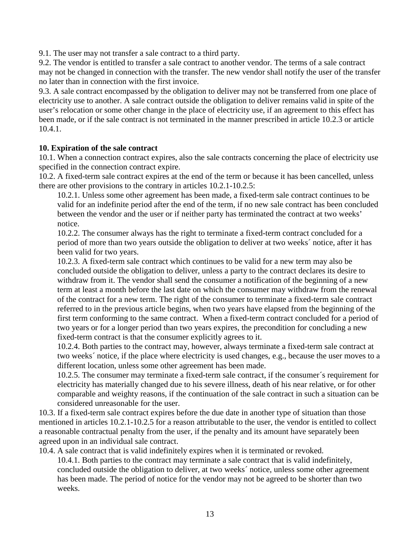9.1. The user may not transfer a sale contract to a third party.

9.2. The vendor is entitled to transfer a sale contract to another vendor. The terms of a sale contract may not be changed in connection with the transfer. The new vendor shall notify the user of the transfer no later than in connection with the first invoice.

9.3. A sale contract encompassed by the obligation to deliver may not be transferred from one place of electricity use to another. A sale contract outside the obligation to deliver remains valid in spite of the user's relocation or some other change in the place of electricity use, if an agreement to this effect has been made, or if the sale contract is not terminated in the manner prescribed in article 10.2.3 or article 10.4.1.

## **10. Expiration of the sale contract**

10.1. When a connection contract expires, also the sale contracts concerning the place of electricity use specified in the connection contract expire.

10.2. A fixed-term sale contract expires at the end of the term or because it has been cancelled, unless there are other provisions to the contrary in articles 10.2.1-10.2.5:

10.2.1. Unless some other agreement has been made, a fixed-term sale contract continues to be valid for an indefinite period after the end of the term, if no new sale contract has been concluded between the vendor and the user or if neither party has terminated the contract at two weeks' notice.

10.2.2. The consumer always has the right to terminate a fixed-term contract concluded for a period of more than two years outside the obligation to deliver at two weeks´ notice, after it has been valid for two years.

10.2.3. A fixed-term sale contract which continues to be valid for a new term may also be concluded outside the obligation to deliver, unless a party to the contract declares its desire to withdraw from it. The vendor shall send the consumer a notification of the beginning of a new term at least a month before the last date on which the consumer may withdraw from the renewal of the contract for a new term. The right of the consumer to terminate a fixed-term sale contract referred to in the previous article begins, when two years have elapsed from the beginning of the first term conforming to the same contract. When a fixed-term contract concluded for a period of two years or for a longer period than two years expires, the precondition for concluding a new fixed-term contract is that the consumer explicitly agrees to it.

10.2.4. Both parties to the contract may, however, always terminate a fixed-term sale contract at two weeks´ notice, if the place where electricity is used changes, e.g., because the user moves to a different location, unless some other agreement has been made.

10.2.5. The consumer may terminate a fixed-term sale contract, if the consumer´s requirement for electricity has materially changed due to his severe illness, death of his near relative, or for other comparable and weighty reasons, if the continuation of the sale contract in such a situation can be considered unreasonable for the user.

10.3. If a fixed-term sale contract expires before the due date in another type of situation than those mentioned in articles 10.2.1-10.2.5 for a reason attributable to the user, the vendor is entitled to collect a reasonable contractual penalty from the user, if the penalty and its amount have separately been agreed upon in an individual sale contract.

10.4. A sale contract that is valid indefinitely expires when it is terminated or revoked.

10.4.1. Both parties to the contract may terminate a sale contract that is valid indefinitely, concluded outside the obligation to deliver, at two weeks´ notice, unless some other agreement has been made. The period of notice for the vendor may not be agreed to be shorter than two weeks.